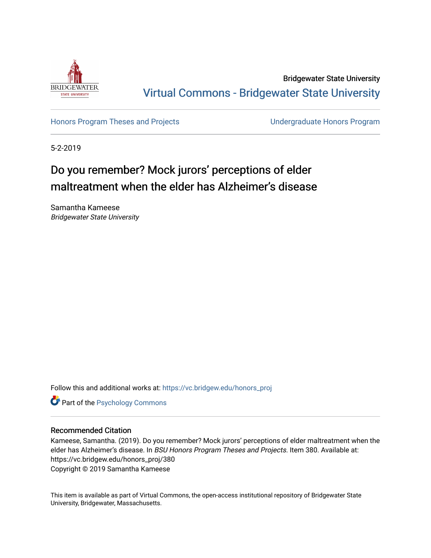

Bridgewater State University [Virtual Commons - Bridgewater State University](https://vc.bridgew.edu/) 

[Honors Program Theses and Projects](https://vc.bridgew.edu/honors_proj) [Undergraduate Honors Program](https://vc.bridgew.edu/honors) 

5-2-2019

# Do you remember? Mock jurors' perceptions of elder maltreatment when the elder has Alzheimer's disease

Samantha Kameese Bridgewater State University

Follow this and additional works at: [https://vc.bridgew.edu/honors\\_proj](https://vc.bridgew.edu/honors_proj?utm_source=vc.bridgew.edu%2Fhonors_proj%2F380&utm_medium=PDF&utm_campaign=PDFCoverPages)

**Part of the Psychology Commons** 

### Recommended Citation

Kameese, Samantha. (2019). Do you remember? Mock jurors' perceptions of elder maltreatment when the elder has Alzheimer's disease. In BSU Honors Program Theses and Projects. Item 380. Available at: https://vc.bridgew.edu/honors\_proj/380 Copyright © 2019 Samantha Kameese

This item is available as part of Virtual Commons, the open-access institutional repository of Bridgewater State University, Bridgewater, Massachusetts.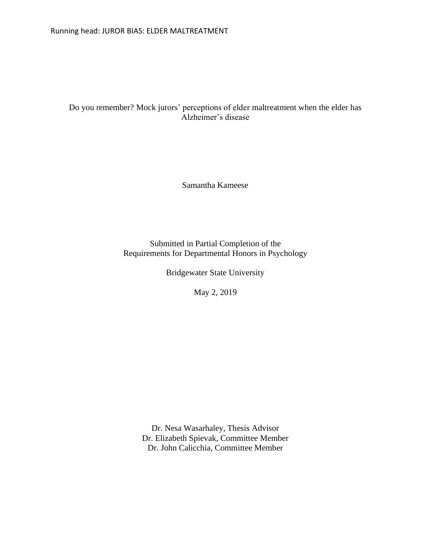## Do you remember? Mock jurors' perceptions of elder maltreatment when the elder has Alzheimer's disease

Samantha Kameese

Submitted in Partial Completion of the Requirements for Departmental Honors in Psychology

Bridgewater State University

May 2, 2019

Dr. Nesa Wasarhaley, Thesis Advisor Dr. Elizabeth Spievak, Committee Member Dr. John Calicchia, Committee Member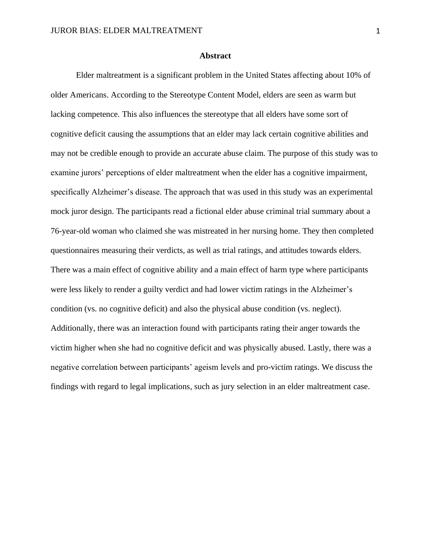#### **Abstract**

Elder maltreatment is a significant problem in the United States affecting about 10% of older Americans. According to the Stereotype Content Model, elders are seen as warm but lacking competence. This also influences the stereotype that all elders have some sort of cognitive deficit causing the assumptions that an elder may lack certain cognitive abilities and may not be credible enough to provide an accurate abuse claim. The purpose of this study was to examine jurors' perceptions of elder maltreatment when the elder has a cognitive impairment, specifically Alzheimer's disease. The approach that was used in this study was an experimental mock juror design. The participants read a fictional elder abuse criminal trial summary about a 76-year-old woman who claimed she was mistreated in her nursing home. They then completed questionnaires measuring their verdicts, as well as trial ratings, and attitudes towards elders. There was a main effect of cognitive ability and a main effect of harm type where participants were less likely to render a guilty verdict and had lower victim ratings in the Alzheimer's condition (vs. no cognitive deficit) and also the physical abuse condition (vs. neglect). Additionally, there was an interaction found with participants rating their anger towards the victim higher when she had no cognitive deficit and was physically abused. Lastly, there was a negative correlation between participants' ageism levels and pro-victim ratings. We discuss the findings with regard to legal implications, such as jury selection in an elder maltreatment case.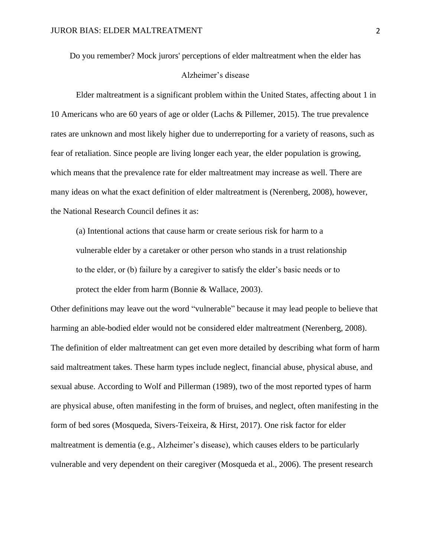Do you remember? Mock jurors' perceptions of elder maltreatment when the elder has

#### Alzheimer's disease

Elder maltreatment is a significant problem within the United States, affecting about 1 in 10 Americans who are 60 years of age or older (Lachs & Pillemer, 2015). The true prevalence rates are unknown and most likely higher due to underreporting for a variety of reasons, such as fear of retaliation. Since people are living longer each year, the elder population is growing, which means that the prevalence rate for elder maltreatment may increase as well. There are many ideas on what the exact definition of elder maltreatment is (Nerenberg, 2008), however, the National Research Council defines it as:

(a) Intentional actions that cause harm or create serious risk for harm to a vulnerable elder by a caretaker or other person who stands in a trust relationship to the elder, or (b) failure by a caregiver to satisfy the elder's basic needs or to protect the elder from harm (Bonnie & Wallace, 2003).

Other definitions may leave out the word "vulnerable" because it may lead people to believe that harming an able-bodied elder would not be considered elder maltreatment (Nerenberg, 2008). The definition of elder maltreatment can get even more detailed by describing what form of harm said maltreatment takes. These harm types include neglect, financial abuse, physical abuse, and sexual abuse. According to Wolf and Pillerman (1989), two of the most reported types of harm are physical abuse, often manifesting in the form of bruises, and neglect, often manifesting in the form of bed sores (Mosqueda, Sivers-Teixeira, & Hirst, 2017). One risk factor for elder maltreatment is dementia (e.g., Alzheimer's disease), which causes elders to be particularly vulnerable and very dependent on their caregiver (Mosqueda et al., 2006). The present research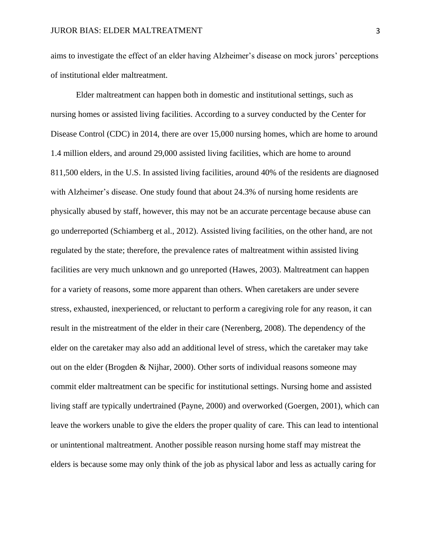aims to investigate the effect of an elder having Alzheimer's disease on mock jurors' perceptions of institutional elder maltreatment.

Elder maltreatment can happen both in domestic and institutional settings, such as nursing homes or assisted living facilities. According to a survey conducted by the Center for Disease Control (CDC) in 2014, there are over 15,000 nursing homes, which are home to around 1.4 million elders, and around 29,000 assisted living facilities, which are home to around 811,500 elders, in the U.S. In assisted living facilities, around 40% of the residents are diagnosed with Alzheimer's disease. One study found that about 24.3% of nursing home residents are physically abused by staff, however, this may not be an accurate percentage because abuse can go underreported (Schiamberg et al., 2012). Assisted living facilities, on the other hand, are not regulated by the state; therefore, the prevalence rates of maltreatment within assisted living facilities are very much unknown and go unreported (Hawes, 2003). Maltreatment can happen for a variety of reasons, some more apparent than others. When caretakers are under severe stress, exhausted, inexperienced, or reluctant to perform a caregiving role for any reason, it can result in the mistreatment of the elder in their care (Nerenberg, 2008). The dependency of the elder on the caretaker may also add an additional level of stress, which the caretaker may take out on the elder (Brogden & Nijhar, 2000). Other sorts of individual reasons someone may commit elder maltreatment can be specific for institutional settings. Nursing home and assisted living staff are typically undertrained (Payne, 2000) and overworked (Goergen, 2001), which can leave the workers unable to give the elders the proper quality of care. This can lead to intentional or unintentional maltreatment. Another possible reason nursing home staff may mistreat the elders is because some may only think of the job as physical labor and less as actually caring for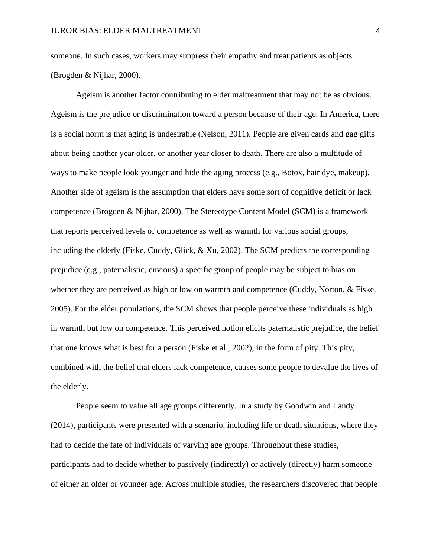someone. In such cases, workers may suppress their empathy and treat patients as objects (Brogden & Nijhar, 2000).

Ageism is another factor contributing to elder maltreatment that may not be as obvious. Ageism is the prejudice or discrimination toward a person because of their age. In America, there is a social norm is that aging is undesirable (Nelson, 2011). People are given cards and gag gifts about being another year older, or another year closer to death. There are also a multitude of ways to make people look younger and hide the aging process (e.g., Botox, hair dye, makeup). Another side of ageism is the assumption that elders have some sort of cognitive deficit or lack competence (Brogden & Nijhar, 2000). The Stereotype Content Model (SCM) is a framework that reports perceived levels of competence as well as warmth for various social groups, including the elderly (Fiske, Cuddy, Glick, & Xu, 2002). The SCM predicts the corresponding prejudice (e.g., paternalistic, envious) a specific group of people may be subject to bias on whether they are perceived as high or low on warmth and competence (Cuddy, Norton, & Fiske, 2005). For the elder populations, the SCM shows that people perceive these individuals as high in warmth but low on competence. This perceived notion elicits paternalistic prejudice, the belief that one knows what is best for a person (Fiske et al., 2002), in the form of pity. This pity, combined with the belief that elders lack competence, causes some people to devalue the lives of the elderly.

People seem to value all age groups differently. In a study by Goodwin and Landy (2014), participants were presented with a scenario, including life or death situations, where they had to decide the fate of individuals of varying age groups. Throughout these studies, participants had to decide whether to passively (indirectly) or actively (directly) harm someone of either an older or younger age. Across multiple studies, the researchers discovered that people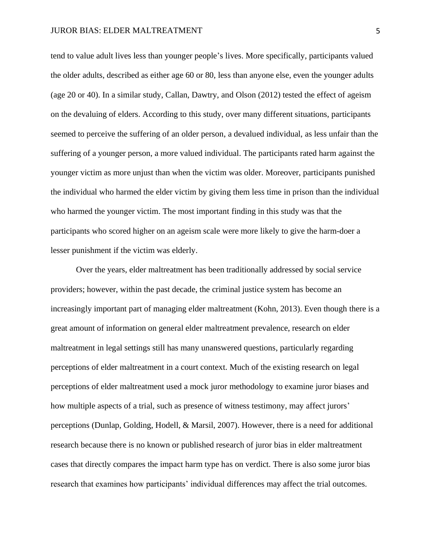tend to value adult lives less than younger people's lives. More specifically, participants valued the older adults, described as either age 60 or 80, less than anyone else, even the younger adults (age 20 or 40). In a similar study, Callan, Dawtry, and Olson (2012) tested the effect of ageism on the devaluing of elders. According to this study, over many different situations, participants seemed to perceive the suffering of an older person, a devalued individual, as less unfair than the suffering of a younger person, a more valued individual. The participants rated harm against the younger victim as more unjust than when the victim was older. Moreover, participants punished the individual who harmed the elder victim by giving them less time in prison than the individual who harmed the younger victim. The most important finding in this study was that the participants who scored higher on an ageism scale were more likely to give the harm-doer a lesser punishment if the victim was elderly.

Over the years, elder maltreatment has been traditionally addressed by social service providers; however, within the past decade, the criminal justice system has become an increasingly important part of managing elder maltreatment (Kohn, 2013). Even though there is a great amount of information on general elder maltreatment prevalence, research on elder maltreatment in legal settings still has many unanswered questions, particularly regarding perceptions of elder maltreatment in a court context. Much of the existing research on legal perceptions of elder maltreatment used a mock juror methodology to examine juror biases and how multiple aspects of a trial, such as presence of witness testimony, may affect jurors' perceptions (Dunlap, Golding, Hodell, & Marsil, 2007). However, there is a need for additional research because there is no known or published research of juror bias in elder maltreatment cases that directly compares the impact harm type has on verdict. There is also some juror bias research that examines how participants' individual differences may affect the trial outcomes.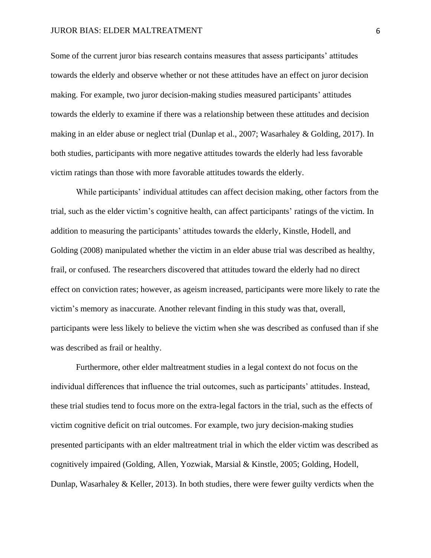#### JUROR BIAS: ELDER MALTREATMENT 6

Some of the current juror bias research contains measures that assess participants' attitudes towards the elderly and observe whether or not these attitudes have an effect on juror decision making. For example, two juror decision-making studies measured participants' attitudes towards the elderly to examine if there was a relationship between these attitudes and decision making in an elder abuse or neglect trial (Dunlap et al., 2007; Wasarhaley & Golding, 2017). In both studies, participants with more negative attitudes towards the elderly had less favorable victim ratings than those with more favorable attitudes towards the elderly.

While participants' individual attitudes can affect decision making, other factors from the trial, such as the elder victim's cognitive health, can affect participants' ratings of the victim. In addition to measuring the participants' attitudes towards the elderly, Kinstle, Hodell, and Golding (2008) manipulated whether the victim in an elder abuse trial was described as healthy, frail, or confused. The researchers discovered that attitudes toward the elderly had no direct effect on conviction rates; however, as ageism increased, participants were more likely to rate the victim's memory as inaccurate. Another relevant finding in this study was that, overall, participants were less likely to believe the victim when she was described as confused than if she was described as frail or healthy.

Furthermore, other elder maltreatment studies in a legal context do not focus on the individual differences that influence the trial outcomes, such as participants' attitudes. Instead, these trial studies tend to focus more on the extra-legal factors in the trial, such as the effects of victim cognitive deficit on trial outcomes. For example, two jury decision-making studies presented participants with an elder maltreatment trial in which the elder victim was described as cognitively impaired (Golding, Allen, Yozwiak, Marsial & Kinstle, 2005; Golding, Hodell, Dunlap, Wasarhaley & Keller, 2013). In both studies, there were fewer guilty verdicts when the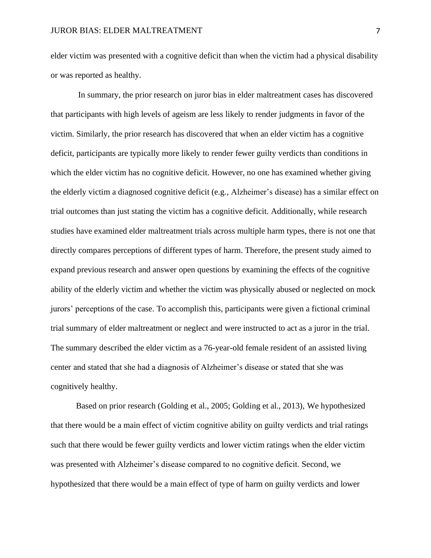elder victim was presented with a cognitive deficit than when the victim had a physical disability or was reported as healthy.

In summary, the prior research on juror bias in elder maltreatment cases has discovered that participants with high levels of ageism are less likely to render judgments in favor of the victim. Similarly, the prior research has discovered that when an elder victim has a cognitive deficit, participants are typically more likely to render fewer guilty verdicts than conditions in which the elder victim has no cognitive deficit. However, no one has examined whether giving the elderly victim a diagnosed cognitive deficit (e.g., Alzheimer's disease) has a similar effect on trial outcomes than just stating the victim has a cognitive deficit. Additionally, while research studies have examined elder maltreatment trials across multiple harm types, there is not one that directly compares perceptions of different types of harm. Therefore, the present study aimed to expand previous research and answer open questions by examining the effects of the cognitive ability of the elderly victim and whether the victim was physically abused or neglected on mock jurors' perceptions of the case. To accomplish this, participants were given a fictional criminal trial summary of elder maltreatment or neglect and were instructed to act as a juror in the trial. The summary described the elder victim as a 76-year-old female resident of an assisted living center and stated that she had a diagnosis of Alzheimer's disease or stated that she was cognitively healthy.

Based on prior research (Golding et al., 2005; Golding et al., 2013), We hypothesized that there would be a main effect of victim cognitive ability on guilty verdicts and trial ratings such that there would be fewer guilty verdicts and lower victim ratings when the elder victim was presented with Alzheimer's disease compared to no cognitive deficit. Second, we hypothesized that there would be a main effect of type of harm on guilty verdicts and lower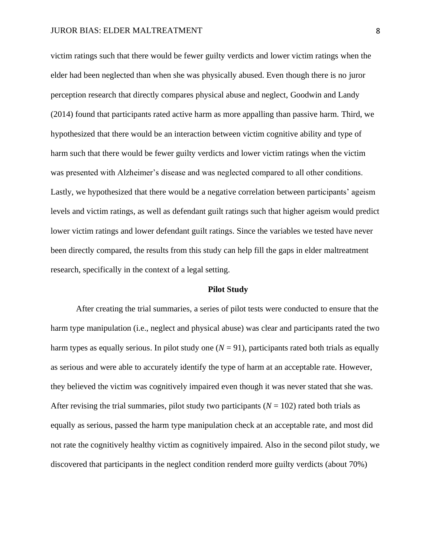victim ratings such that there would be fewer guilty verdicts and lower victim ratings when the elder had been neglected than when she was physically abused. Even though there is no juror perception research that directly compares physical abuse and neglect, Goodwin and Landy (2014) found that participants rated active harm as more appalling than passive harm. Third, we hypothesized that there would be an interaction between victim cognitive ability and type of harm such that there would be fewer guilty verdicts and lower victim ratings when the victim was presented with Alzheimer's disease and was neglected compared to all other conditions. Lastly, we hypothesized that there would be a negative correlation between participants' ageism levels and victim ratings, as well as defendant guilt ratings such that higher ageism would predict lower victim ratings and lower defendant guilt ratings. Since the variables we tested have never been directly compared, the results from this study can help fill the gaps in elder maltreatment research, specifically in the context of a legal setting.

#### **Pilot Study**

After creating the trial summaries, a series of pilot tests were conducted to ensure that the harm type manipulation (i.e., neglect and physical abuse) was clear and participants rated the two harm types as equally serious. In pilot study one  $(N = 91)$ , participants rated both trials as equally as serious and were able to accurately identify the type of harm at an acceptable rate. However, they believed the victim was cognitively impaired even though it was never stated that she was. After revising the trial summaries, pilot study two participants  $(N = 102)$  rated both trials as equally as serious, passed the harm type manipulation check at an acceptable rate, and most did not rate the cognitively healthy victim as cognitively impaired. Also in the second pilot study, we discovered that participants in the neglect condition renderd more guilty verdicts (about 70%)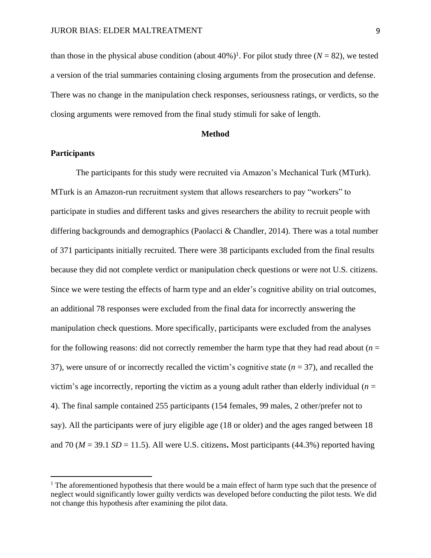than those in the physical abuse condition (about  $40\%$ )<sup>1</sup>. For pilot study three ( $N = 82$ ), we tested a version of the trial summaries containing closing arguments from the prosecution and defense. There was no change in the manipulation check responses, seriousness ratings, or verdicts, so the closing arguments were removed from the final study stimuli for sake of length.

#### **Method**

#### **Participants**

The participants for this study were recruited via Amazon's Mechanical Turk (MTurk). MTurk is an Amazon-run recruitment system that allows researchers to pay "workers" to participate in studies and different tasks and gives researchers the ability to recruit people with differing backgrounds and demographics (Paolacci & Chandler, 2014). There was a total number of 371 participants initially recruited. There were 38 participants excluded from the final results because they did not complete verdict or manipulation check questions or were not U.S. citizens. Since we were testing the effects of harm type and an elder's cognitive ability on trial outcomes, an additional 78 responses were excluded from the final data for incorrectly answering the manipulation check questions. More specifically, participants were excluded from the analyses for the following reasons: did not correctly remember the harm type that they had read about  $(n = 1, 2)$ 37), were unsure of or incorrectly recalled the victim's cognitive state (*n* = 37), and recalled the victim's age incorrectly, reporting the victim as a young adult rather than elderly individual  $(n =$ 4). The final sample contained 255 participants (154 females, 99 males, 2 other/prefer not to say). All the participants were of jury eligible age (18 or older) and the ages ranged between 18 and 70 ( $M = 39.1$  *SD* = 11.5). All were U.S. citizens. Most participants (44.3%) reported having

<sup>&</sup>lt;sup>1</sup> The aforementioned hypothesis that there would be a main effect of harm type such that the presence of neglect would significantly lower guilty verdicts was developed before conducting the pilot tests. We did not change this hypothesis after examining the pilot data.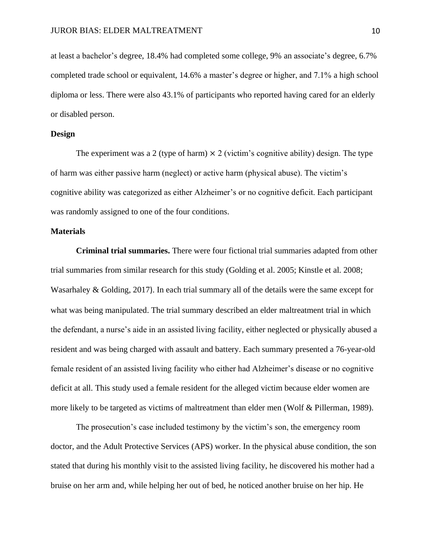at least a bachelor's degree, 18.4% had completed some college, 9% an associate's degree, 6.7% completed trade school or equivalent, 14.6% a master's degree or higher, and 7.1% a high school diploma or less. There were also 43.1% of participants who reported having cared for an elderly or disabled person.

#### **Design**

The experiment was a 2 (type of harm)  $\times$  2 (victim's cognitive ability) design. The type of harm was either passive harm (neglect) or active harm (physical abuse). The victim's cognitive ability was categorized as either Alzheimer's or no cognitive deficit. Each participant was randomly assigned to one of the four conditions.

#### **Materials**

**Criminal trial summaries.** There were four fictional trial summaries adapted from other trial summaries from similar research for this study (Golding et al. 2005; Kinstle et al. 2008; Wasarhaley & Golding, 2017). In each trial summary all of the details were the same except for what was being manipulated. The trial summary described an elder maltreatment trial in which the defendant, a nurse's aide in an assisted living facility, either neglected or physically abused a resident and was being charged with assault and battery. Each summary presented a 76-year-old female resident of an assisted living facility who either had Alzheimer's disease or no cognitive deficit at all. This study used a female resident for the alleged victim because elder women are more likely to be targeted as victims of maltreatment than elder men (Wolf & Pillerman, 1989).

The prosecution's case included testimony by the victim's son, the emergency room doctor, and the Adult Protective Services (APS) worker. In the physical abuse condition, the son stated that during his monthly visit to the assisted living facility, he discovered his mother had a bruise on her arm and, while helping her out of bed, he noticed another bruise on her hip. He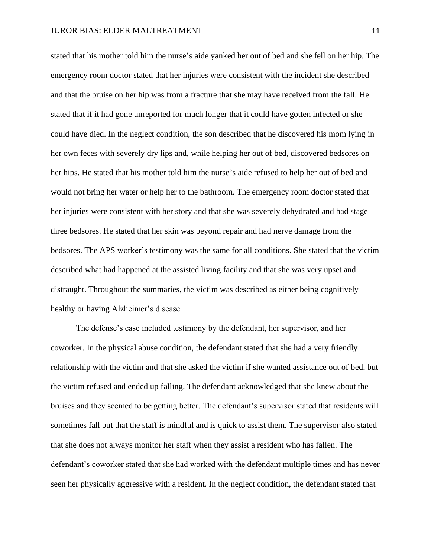stated that his mother told him the nurse's aide yanked her out of bed and she fell on her hip. The emergency room doctor stated that her injuries were consistent with the incident she described and that the bruise on her hip was from a fracture that she may have received from the fall. He stated that if it had gone unreported for much longer that it could have gotten infected or she could have died. In the neglect condition, the son described that he discovered his mom lying in her own feces with severely dry lips and, while helping her out of bed, discovered bedsores on her hips. He stated that his mother told him the nurse's aide refused to help her out of bed and would not bring her water or help her to the bathroom. The emergency room doctor stated that her injuries were consistent with her story and that she was severely dehydrated and had stage three bedsores. He stated that her skin was beyond repair and had nerve damage from the bedsores. The APS worker's testimony was the same for all conditions. She stated that the victim described what had happened at the assisted living facility and that she was very upset and distraught. Throughout the summaries, the victim was described as either being cognitively healthy or having Alzheimer's disease.

The defense's case included testimony by the defendant, her supervisor, and her coworker. In the physical abuse condition, the defendant stated that she had a very friendly relationship with the victim and that she asked the victim if she wanted assistance out of bed, but the victim refused and ended up falling. The defendant acknowledged that she knew about the bruises and they seemed to be getting better. The defendant's supervisor stated that residents will sometimes fall but that the staff is mindful and is quick to assist them. The supervisor also stated that she does not always monitor her staff when they assist a resident who has fallen. The defendant's coworker stated that she had worked with the defendant multiple times and has never seen her physically aggressive with a resident. In the neglect condition, the defendant stated that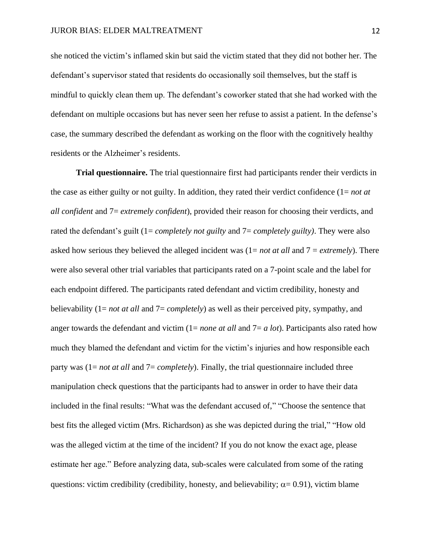she noticed the victim's inflamed skin but said the victim stated that they did not bother her. The defendant's supervisor stated that residents do occasionally soil themselves, but the staff is mindful to quickly clean them up. The defendant's coworker stated that she had worked with the defendant on multiple occasions but has never seen her refuse to assist a patient. In the defense's case, the summary described the defendant as working on the floor with the cognitively healthy residents or the Alzheimer's residents.

**Trial questionnaire.** The trial questionnaire first had participants render their verdicts in the case as either guilty or not guilty. In addition, they rated their verdict confidence (1= *not at all confident* and 7= *extremely confident*), provided their reason for choosing their verdicts, and rated the defendant's guilt (1= *completely not guilty* and 7= *completely guilty)*. They were also asked how serious they believed the alleged incident was (1= *not at all* and 7 = *extremely*). There were also several other trial variables that participants rated on a 7-point scale and the label for each endpoint differed. The participants rated defendant and victim credibility, honesty and believability (1= *not at all* and 7= *completely*) as well as their perceived pity, sympathy, and anger towards the defendant and victim (1= *none at all* and 7= *a lot*). Participants also rated how much they blamed the defendant and victim for the victim's injuries and how responsible each party was (1= *not at all* and 7= *completely*). Finally, the trial questionnaire included three manipulation check questions that the participants had to answer in order to have their data included in the final results: "What was the defendant accused of," "Choose the sentence that best fits the alleged victim (Mrs. Richardson) as she was depicted during the trial," "How old was the alleged victim at the time of the incident? If you do not know the exact age, please estimate her age." Before analyzing data, sub-scales were calculated from some of the rating questions: victim credibility (credibility, honesty, and believability;  $\alpha$  = 0.91), victim blame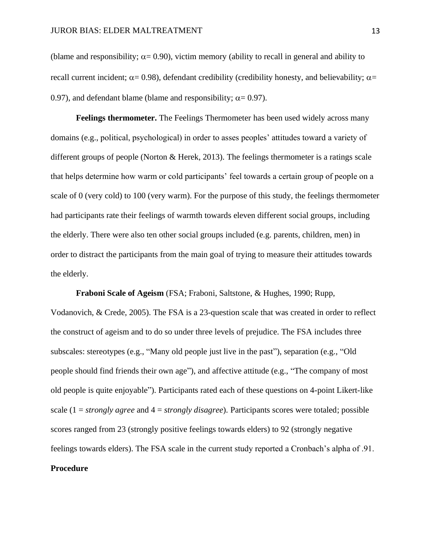(blame and responsibility;  $\alpha = 0.90$ ), victim memory (ability to recall in general and ability to recall current incident;  $\alpha$  = 0.98), defendant credibility (credibility honesty, and believability;  $\alpha$  = 0.97), and defendant blame (blame and responsibility;  $\alpha = 0.97$ ).

**Feelings thermometer.** The Feelings Thermometer has been used widely across many domains (e.g., political, psychological) in order to asses peoples' attitudes toward a variety of different groups of people (Norton & Herek, 2013). The feelings thermometer is a ratings scale that helps determine how warm or cold participants' feel towards a certain group of people on a scale of 0 (very cold) to 100 (very warm). For the purpose of this study, the feelings thermometer had participants rate their feelings of warmth towards eleven different social groups, including the elderly. There were also ten other social groups included (e.g. parents, children, men) in order to distract the participants from the main goal of trying to measure their attitudes towards the elderly.

**Fraboni Scale of Ageism** (FSA; Fraboni, Saltstone, & Hughes, 1990; Rupp, Vodanovich, & Crede, 2005). The FSA is a 23-question scale that was created in order to reflect the construct of ageism and to do so under three levels of prejudice. The FSA includes three subscales: stereotypes (e.g., "Many old people just live in the past"), separation (e.g., "Old people should find friends their own age"), and affective attitude (e.g., "The company of most old people is quite enjoyable"). Participants rated each of these questions on 4-point Likert-like scale (1 = *strongly agree* and 4 = *strongly disagree*). Participants scores were totaled; possible scores ranged from 23 (strongly positive feelings towards elders) to 92 (strongly negative feelings towards elders). The FSA scale in the current study reported a Cronbach's alpha of .91.

#### **Procedure**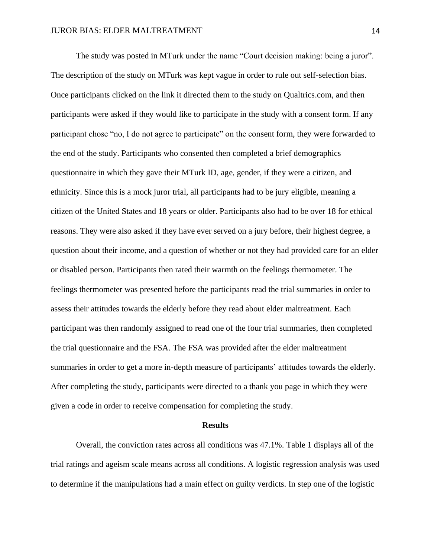The study was posted in MTurk under the name "Court decision making: being a juror". The description of the study on MTurk was kept vague in order to rule out self-selection bias. Once participants clicked on the link it directed them to the study on Qualtrics.com, and then participants were asked if they would like to participate in the study with a consent form. If any participant chose "no, I do not agree to participate" on the consent form, they were forwarded to the end of the study. Participants who consented then completed a brief demographics questionnaire in which they gave their MTurk ID, age, gender, if they were a citizen, and ethnicity. Since this is a mock juror trial, all participants had to be jury eligible, meaning a citizen of the United States and 18 years or older. Participants also had to be over 18 for ethical reasons. They were also asked if they have ever served on a jury before, their highest degree, a question about their income, and a question of whether or not they had provided care for an elder or disabled person. Participants then rated their warmth on the feelings thermometer. The feelings thermometer was presented before the participants read the trial summaries in order to assess their attitudes towards the elderly before they read about elder maltreatment. Each participant was then randomly assigned to read one of the four trial summaries, then completed the trial questionnaire and the FSA. The FSA was provided after the elder maltreatment summaries in order to get a more in-depth measure of participants' attitudes towards the elderly. After completing the study, participants were directed to a thank you page in which they were given a code in order to receive compensation for completing the study.

#### **Results**

Overall, the conviction rates across all conditions was 47.1%. Table 1 displays all of the trial ratings and ageism scale means across all conditions. A logistic regression analysis was used to determine if the manipulations had a main effect on guilty verdicts. In step one of the logistic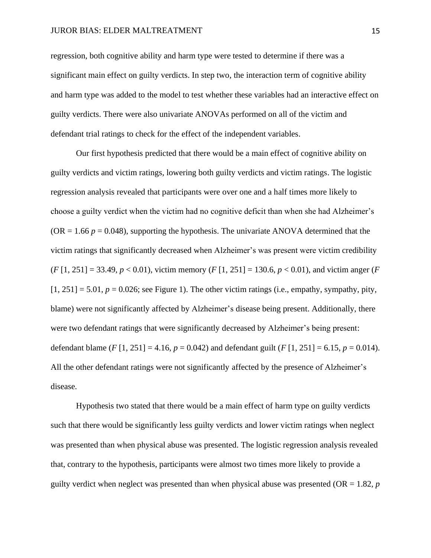#### JUROR BIAS: ELDER MALTREATMENT 15

regression, both cognitive ability and harm type were tested to determine if there was a significant main effect on guilty verdicts. In step two, the interaction term of cognitive ability and harm type was added to the model to test whether these variables had an interactive effect on guilty verdicts. There were also univariate ANOVAs performed on all of the victim and defendant trial ratings to check for the effect of the independent variables.

Our first hypothesis predicted that there would be a main effect of cognitive ability on guilty verdicts and victim ratings, lowering both guilty verdicts and victim ratings. The logistic regression analysis revealed that participants were over one and a half times more likely to choose a guilty verdict when the victim had no cognitive deficit than when she had Alzheimer's (OR  $= 1.66$   $p = 0.048$ ), supporting the hypothesis. The univariate ANOVA determined that the victim ratings that significantly decreased when Alzheimer's was present were victim credibility (*F* [1, 251] = 33.49, *p* < 0.01), victim memory (*F* [1, 251] = 130.6, *p* < 0.01), and victim anger (*F*   $[1, 251] = 5.01$ ,  $p = 0.026$ ; see Figure 1). The other victim ratings (i.e., empathy, sympathy, pity, blame) were not significantly affected by Alzheimer's disease being present. Additionally, there were two defendant ratings that were significantly decreased by Alzheimer's being present: defendant blame (*F* [1, 251] = 4.16,  $p = 0.042$ ) and defendant guilt (*F* [1, 251] = 6.15,  $p = 0.014$ ). All the other defendant ratings were not significantly affected by the presence of Alzheimer's disease.

Hypothesis two stated that there would be a main effect of harm type on guilty verdicts such that there would be significantly less guilty verdicts and lower victim ratings when neglect was presented than when physical abuse was presented. The logistic regression analysis revealed that, contrary to the hypothesis, participants were almost two times more likely to provide a guilty verdict when neglect was presented than when physical abuse was presented (OR = 1.82*, p*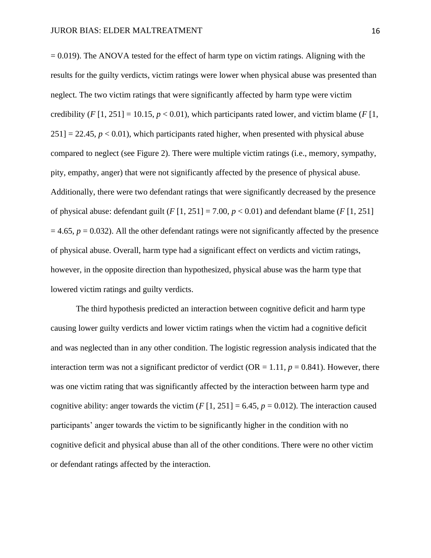$= 0.019$ ). The ANOVA tested for the effect of harm type on victim ratings. Aligning with the results for the guilty verdicts, victim ratings were lower when physical abuse was presented than neglect. The two victim ratings that were significantly affected by harm type were victim credibility  $(F[1, 251] = 10.15, p < 0.01)$ , which participants rated lower, and victim blame  $(F[1, 251] = 10.15, p < 0.01)$ , which participants rated lower, and victim blame  $(F[1, 251] = 10.15, p < 0.01)$  $251$ ] = 22.45,  $p < 0.01$ ), which participants rated higher, when presented with physical abuse compared to neglect (see Figure 2). There were multiple victim ratings (i.e., memory, sympathy, pity, empathy, anger) that were not significantly affected by the presence of physical abuse. Additionally, there were two defendant ratings that were significantly decreased by the presence of physical abuse: defendant guilt  $(F[1, 251] = 7.00, p < 0.01)$  and defendant blame  $(F[1, 251]$  $= 4.65$ ,  $p = 0.032$ ). All the other defendant ratings were not significantly affected by the presence of physical abuse. Overall, harm type had a significant effect on verdicts and victim ratings, however, in the opposite direction than hypothesized, physical abuse was the harm type that lowered victim ratings and guilty verdicts.

The third hypothesis predicted an interaction between cognitive deficit and harm type causing lower guilty verdicts and lower victim ratings when the victim had a cognitive deficit and was neglected than in any other condition. The logistic regression analysis indicated that the interaction term was not a significant predictor of verdict ( $OR = 1.11$ ,  $p = 0.841$ ). However, there was one victim rating that was significantly affected by the interaction between harm type and cognitive ability: anger towards the victim  $(F[1, 251] = 6.45, p = 0.012)$ . The interaction caused participants' anger towards the victim to be significantly higher in the condition with no cognitive deficit and physical abuse than all of the other conditions. There were no other victim or defendant ratings affected by the interaction.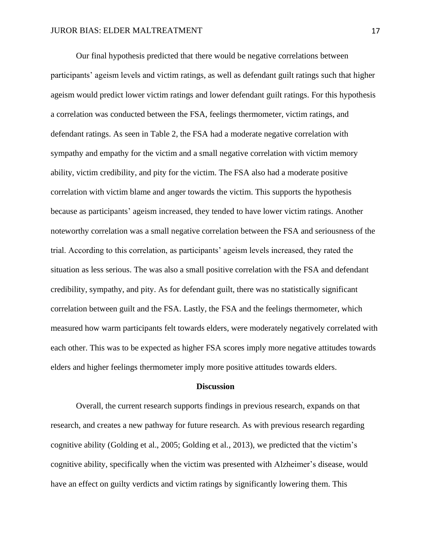Our final hypothesis predicted that there would be negative correlations between participants' ageism levels and victim ratings, as well as defendant guilt ratings such that higher ageism would predict lower victim ratings and lower defendant guilt ratings. For this hypothesis a correlation was conducted between the FSA, feelings thermometer, victim ratings, and defendant ratings. As seen in Table 2, the FSA had a moderate negative correlation with sympathy and empathy for the victim and a small negative correlation with victim memory ability, victim credibility, and pity for the victim. The FSA also had a moderate positive correlation with victim blame and anger towards the victim. This supports the hypothesis because as participants' ageism increased, they tended to have lower victim ratings. Another noteworthy correlation was a small negative correlation between the FSA and seriousness of the trial. According to this correlation, as participants' ageism levels increased, they rated the situation as less serious. The was also a small positive correlation with the FSA and defendant credibility, sympathy, and pity. As for defendant guilt, there was no statistically significant correlation between guilt and the FSA. Lastly, the FSA and the feelings thermometer, which measured how warm participants felt towards elders, were moderately negatively correlated with each other. This was to be expected as higher FSA scores imply more negative attitudes towards elders and higher feelings thermometer imply more positive attitudes towards elders.

#### **Discussion**

Overall, the current research supports findings in previous research, expands on that research, and creates a new pathway for future research. As with previous research regarding cognitive ability (Golding et al., 2005; Golding et al., 2013), we predicted that the victim's cognitive ability, specifically when the victim was presented with Alzheimer's disease, would have an effect on guilty verdicts and victim ratings by significantly lowering them. This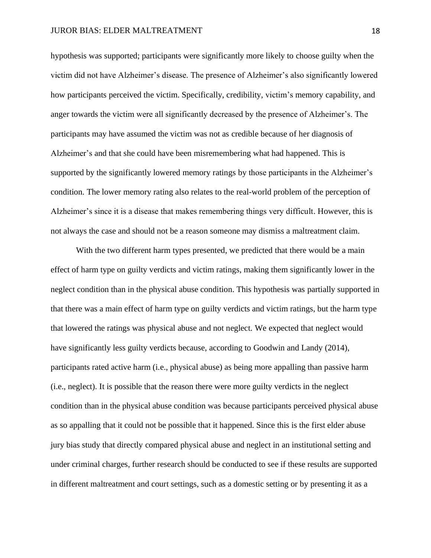hypothesis was supported; participants were significantly more likely to choose guilty when the victim did not have Alzheimer's disease. The presence of Alzheimer's also significantly lowered how participants perceived the victim. Specifically, credibility, victim's memory capability, and anger towards the victim were all significantly decreased by the presence of Alzheimer's. The participants may have assumed the victim was not as credible because of her diagnosis of Alzheimer's and that she could have been misremembering what had happened. This is supported by the significantly lowered memory ratings by those participants in the Alzheimer's condition. The lower memory rating also relates to the real-world problem of the perception of Alzheimer's since it is a disease that makes remembering things very difficult. However, this is not always the case and should not be a reason someone may dismiss a maltreatment claim.

With the two different harm types presented, we predicted that there would be a main effect of harm type on guilty verdicts and victim ratings, making them significantly lower in the neglect condition than in the physical abuse condition. This hypothesis was partially supported in that there was a main effect of harm type on guilty verdicts and victim ratings, but the harm type that lowered the ratings was physical abuse and not neglect. We expected that neglect would have significantly less guilty verdicts because, according to Goodwin and Landy (2014), participants rated active harm (i.e., physical abuse) as being more appalling than passive harm (i.e., neglect). It is possible that the reason there were more guilty verdicts in the neglect condition than in the physical abuse condition was because participants perceived physical abuse as so appalling that it could not be possible that it happened. Since this is the first elder abuse jury bias study that directly compared physical abuse and neglect in an institutional setting and under criminal charges, further research should be conducted to see if these results are supported in different maltreatment and court settings, such as a domestic setting or by presenting it as a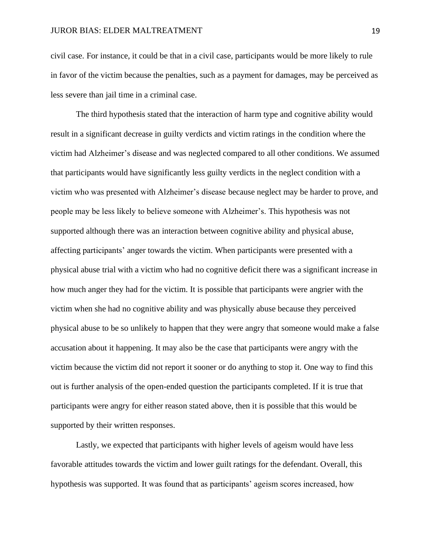civil case. For instance, it could be that in a civil case, participants would be more likely to rule in favor of the victim because the penalties, such as a payment for damages, may be perceived as less severe than jail time in a criminal case.

The third hypothesis stated that the interaction of harm type and cognitive ability would result in a significant decrease in guilty verdicts and victim ratings in the condition where the victim had Alzheimer's disease and was neglected compared to all other conditions. We assumed that participants would have significantly less guilty verdicts in the neglect condition with a victim who was presented with Alzheimer's disease because neglect may be harder to prove, and people may be less likely to believe someone with Alzheimer's. This hypothesis was not supported although there was an interaction between cognitive ability and physical abuse, affecting participants' anger towards the victim. When participants were presented with a physical abuse trial with a victim who had no cognitive deficit there was a significant increase in how much anger they had for the victim. It is possible that participants were angrier with the victim when she had no cognitive ability and was physically abuse because they perceived physical abuse to be so unlikely to happen that they were angry that someone would make a false accusation about it happening. It may also be the case that participants were angry with the victim because the victim did not report it sooner or do anything to stop it. One way to find this out is further analysis of the open-ended question the participants completed. If it is true that participants were angry for either reason stated above, then it is possible that this would be supported by their written responses.

Lastly, we expected that participants with higher levels of ageism would have less favorable attitudes towards the victim and lower guilt ratings for the defendant. Overall, this hypothesis was supported. It was found that as participants' ageism scores increased, how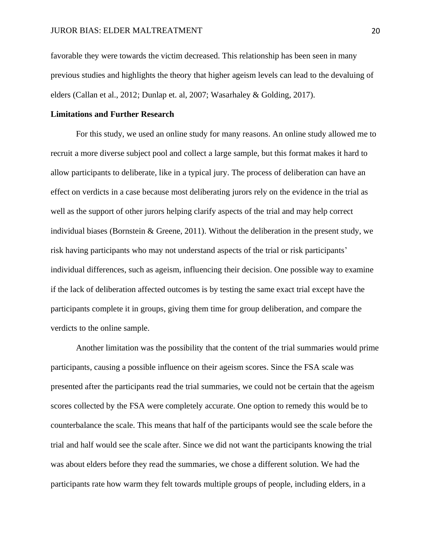favorable they were towards the victim decreased. This relationship has been seen in many previous studies and highlights the theory that higher ageism levels can lead to the devaluing of elders (Callan et al., 2012; Dunlap et. al, 2007; Wasarhaley & Golding, 2017).

#### **Limitations and Further Research**

For this study, we used an online study for many reasons. An online study allowed me to recruit a more diverse subject pool and collect a large sample, but this format makes it hard to allow participants to deliberate, like in a typical jury. The process of deliberation can have an effect on verdicts in a case because most deliberating jurors rely on the evidence in the trial as well as the support of other jurors helping clarify aspects of the trial and may help correct individual biases (Bornstein & Greene, 2011). Without the deliberation in the present study, we risk having participants who may not understand aspects of the trial or risk participants' individual differences, such as ageism, influencing their decision. One possible way to examine if the lack of deliberation affected outcomes is by testing the same exact trial except have the participants complete it in groups, giving them time for group deliberation, and compare the verdicts to the online sample.

Another limitation was the possibility that the content of the trial summaries would prime participants, causing a possible influence on their ageism scores. Since the FSA scale was presented after the participants read the trial summaries, we could not be certain that the ageism scores collected by the FSA were completely accurate. One option to remedy this would be to counterbalance the scale. This means that half of the participants would see the scale before the trial and half would see the scale after. Since we did not want the participants knowing the trial was about elders before they read the summaries, we chose a different solution. We had the participants rate how warm they felt towards multiple groups of people, including elders, in a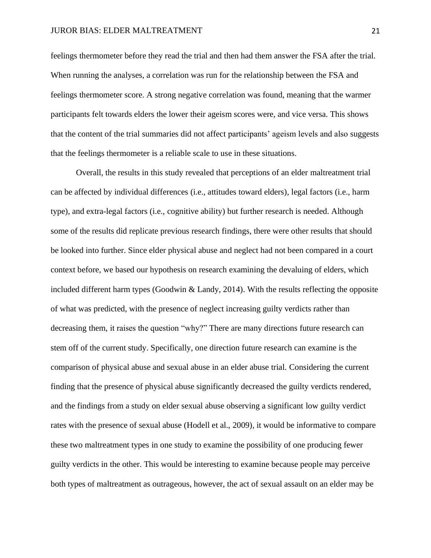#### JUROR BIAS: ELDER MALTREATMENT 21

feelings thermometer before they read the trial and then had them answer the FSA after the trial. When running the analyses, a correlation was run for the relationship between the FSA and feelings thermometer score. A strong negative correlation was found, meaning that the warmer participants felt towards elders the lower their ageism scores were, and vice versa. This shows that the content of the trial summaries did not affect participants' ageism levels and also suggests that the feelings thermometer is a reliable scale to use in these situations.

Overall, the results in this study revealed that perceptions of an elder maltreatment trial can be affected by individual differences (i.e., attitudes toward elders), legal factors (i.e., harm type), and extra-legal factors (i.e., cognitive ability) but further research is needed. Although some of the results did replicate previous research findings, there were other results that should be looked into further. Since elder physical abuse and neglect had not been compared in a court context before, we based our hypothesis on research examining the devaluing of elders, which included different harm types (Goodwin  $\&$  Landy, 2014). With the results reflecting the opposite of what was predicted, with the presence of neglect increasing guilty verdicts rather than decreasing them, it raises the question "why?" There are many directions future research can stem off of the current study. Specifically, one direction future research can examine is the comparison of physical abuse and sexual abuse in an elder abuse trial. Considering the current finding that the presence of physical abuse significantly decreased the guilty verdicts rendered, and the findings from a study on elder sexual abuse observing a significant low guilty verdict rates with the presence of sexual abuse (Hodell et al., 2009), it would be informative to compare these two maltreatment types in one study to examine the possibility of one producing fewer guilty verdicts in the other. This would be interesting to examine because people may perceive both types of maltreatment as outrageous, however, the act of sexual assault on an elder may be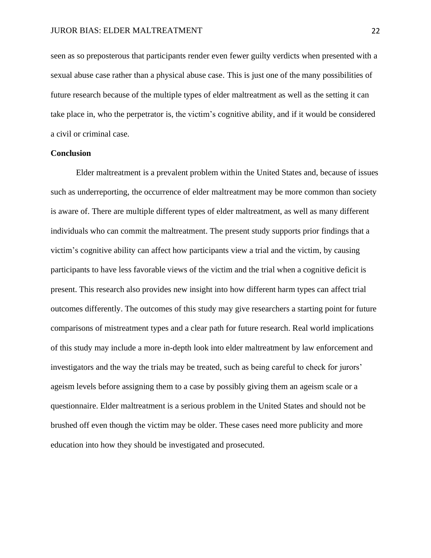seen as so preposterous that participants render even fewer guilty verdicts when presented with a sexual abuse case rather than a physical abuse case. This is just one of the many possibilities of future research because of the multiple types of elder maltreatment as well as the setting it can take place in, who the perpetrator is, the victim's cognitive ability, and if it would be considered a civil or criminal case.

#### **Conclusion**

Elder maltreatment is a prevalent problem within the United States and, because of issues such as underreporting, the occurrence of elder maltreatment may be more common than society is aware of. There are multiple different types of elder maltreatment, as well as many different individuals who can commit the maltreatment. The present study supports prior findings that a victim's cognitive ability can affect how participants view a trial and the victim, by causing participants to have less favorable views of the victim and the trial when a cognitive deficit is present. This research also provides new insight into how different harm types can affect trial outcomes differently. The outcomes of this study may give researchers a starting point for future comparisons of mistreatment types and a clear path for future research. Real world implications of this study may include a more in-depth look into elder maltreatment by law enforcement and investigators and the way the trials may be treated, such as being careful to check for jurors' ageism levels before assigning them to a case by possibly giving them an ageism scale or a questionnaire. Elder maltreatment is a serious problem in the United States and should not be brushed off even though the victim may be older. These cases need more publicity and more education into how they should be investigated and prosecuted.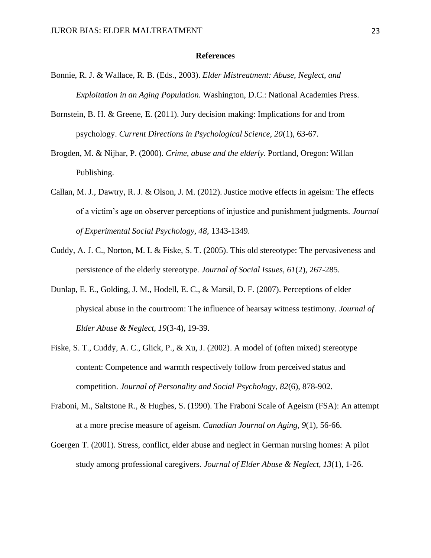#### **References**

- Bonnie, R. J. & Wallace, R. B. (Eds., 2003). *Elder Mistreatment: Abuse, Neglect, and Exploitation in an Aging Population.* Washington, D.C.: National Academies Press.
- Bornstein, B. H. & Greene, E. (2011). Jury decision making: Implications for and from psychology. *Current Directions in Psychological Science, 20*(1), 63-67.
- Brogden, M. & Nijhar, P. (2000). *Crime, abuse and the elderly.* Portland, Oregon: Willan Publishing.
- Callan, M. J., Dawtry, R. J. & Olson, J. M. (2012). Justice motive effects in ageism: The effects of a victim's age on observer perceptions of injustice and punishment judgments. *Journal of Experimental Social Psychology, 48,* 1343-1349.
- Cuddy, A. J. C., Norton, M. I. & Fiske, S. T. (2005). This old stereotype: The pervasiveness and persistence of the elderly stereotype. *Journal of Social Issues, 61*(2), 267-285.
- Dunlap, E. E., Golding, J. M., Hodell, E. C., & Marsil, D. F. (2007). Perceptions of elder physical abuse in the courtroom: The influence of hearsay witness testimony. *Journal of Elder Abuse & Neglect, 19*(3-4), 19-39.
- Fiske, S. T., Cuddy, A. C., Glick, P., & Xu, J. (2002). A model of (often mixed) stereotype content: Competence and warmth respectively follow from perceived status and competition. *Journal of Personality and Social Psychology*, *82*(6), 878-902.
- Fraboni, M., Saltstone R., & Hughes, S. (1990). The Fraboni Scale of Ageism (FSA): An attempt at a more precise measure of ageism. *Canadian Journal on Aging, 9*(1), 56-66.
- Goergen T. (2001). Stress, conflict, elder abuse and neglect in German nursing homes: A pilot study among professional caregivers. *Journal of Elder Abuse & Neglect, 13*(1), 1-26.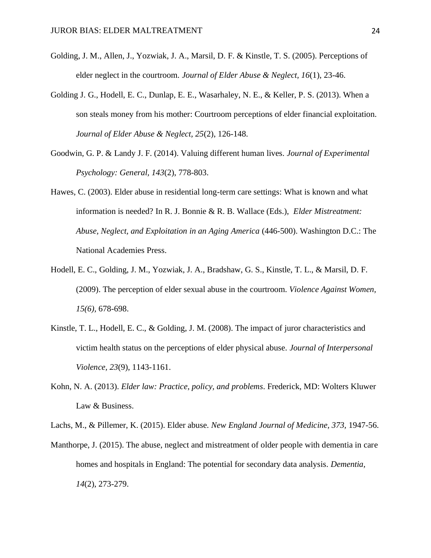- Golding, J. M., Allen, J., Yozwiak, J. A., Marsil, D. F. & Kinstle, T. S. (2005). Perceptions of elder neglect in the courtroom. *Journal of Elder Abuse & Neglect, 16*(1), 23-46.
- Golding J. G., Hodell, E. C., Dunlap, E. E., Wasarhaley, N. E., & Keller, P. S. (2013). When a son steals money from his mother: Courtroom perceptions of elder financial exploitation. *Journal of Elder Abuse & Neglect, 25*(2), 126-148.
- Goodwin, G. P. & Landy J. F. (2014). Valuing different human lives. *Journal of Experimental Psychology: General, 143*(2), 778-803.
- Hawes, C. (2003). Elder abuse in residential long-term care settings: What is known and what information is needed? In R. J. Bonnie & R. B. Wallace (Eds.), *Elder Mistreatment: Abuse, Neglect, and Exploitation in an Aging America* (446-500). Washington D.C.: The National Academies Press.
- Hodell, E. C., Golding, J. M., Yozwiak, J. A., Bradshaw, G. S., Kinstle, T. L., & Marsil, D. F. (2009). The perception of elder sexual abuse in the courtroom. *Violence Against Women, 15(6),* 678-698.
- Kinstle, T. L., Hodell, E. C., & Golding, J. M. (2008). The impact of juror characteristics and victim health status on the perceptions of elder physical abuse. *Journal of Interpersonal Violence, 23*(9), 1143-1161.
- Kohn, N. A. (2013). *Elder law: Practice, policy, and problems*. Frederick, MD: Wolters Kluwer Law & Business.
- Lachs, M., & Pillemer, K. (2015). Elder abuse. *New England Journal of Medicine, 373,* 1947-56.
- Manthorpe, J. (2015). The abuse, neglect and mistreatment of older people with dementia in care homes and hospitals in England: The potential for secondary data analysis. *Dementia, 14*(2), 273-279.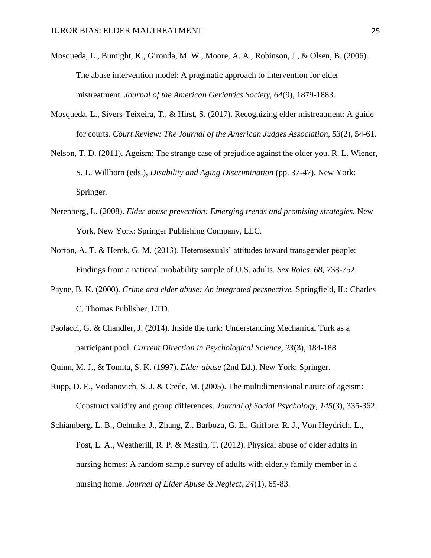- Mosqueda, L., Bumight, K., Gironda, M. W., Moore, A. A., Robinson, J., & Olsen, B. (2006). The abuse intervention model: A pragmatic approach to intervention for elder mistreatment. *Journal of the American Geriatrics Society, 64*(9), 1879-1883.
- Mosqueda, L., Sivers-Teixeira, T., & Hirst, S. (2017). Recognizing elder mistreatment: A guide for courts. *Court Review: The Journal of the American Judges Association, 53*(2), 54-61.
- Nelson, T. D. (2011). Ageism: The strange case of prejudice against the older you. R. L. Wiener, S. L. Willborn (eds.), *Disability and Aging Discrimination* (pp. 37-47). New York: Springer.
- Nerenberg, L. (2008). *Elder abuse prevention: Emerging trends and promising strategies.* New York, New York: Springer Publishing Company, LLC.
- Norton, A. T. & Herek, G. M. (2013). Heterosexuals' attitudes toward transgender people: Findings from a national probability sample of U.S. adults. *Sex Roles, 68,* 738-752.
- Payne, B. K. (2000). *Crime and elder abuse: An integrated perspective.* Springfield, IL: Charles C. Thomas Publisher, LTD.
- Paolacci, G. & Chandler, J. (2014). Inside the turk: Understanding Mechanical Turk as a participant pool. *Current Direction in Psychological Science, 23*(3), 184-188
- Quinn, M. J., & Tomita, S. K. (1997). *Elder abuse* (2nd Ed.). New York: Springer.
- Rupp, D. E., Vodanovich, S. J. & Crede, M. (2005). The multidimensional nature of ageism: Construct validity and group differences. *Journal of Social Psychology, 145*(3), 335-362.
- Schiamberg, L. B., Oehmke, J., Zhang, Z., Barboza, G. E., Griffore, R. J., Von Heydrich, L., Post, L. A., Weatherill, R. P. & Mastin, T. (2012). Physical abuse of older adults in nursing homes: A random sample survey of adults with elderly family member in a nursing home. *Journal of Elder Abuse & Neglect, 24*(1), 65-83.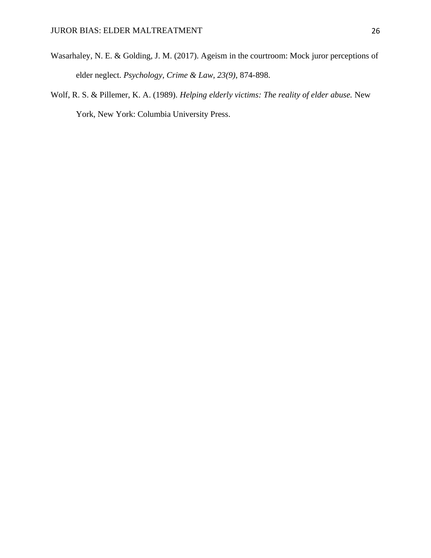- Wasarhaley, N. E. & Golding, J. M. (2017). Ageism in the courtroom: Mock juror perceptions of elder neglect. *Psychology, Crime & Law, 23(9),* 874-898.
- Wolf, R. S. & Pillemer, K. A. (1989). *Helping elderly victims: The reality of elder abuse.* New York, New York: Columbia University Press.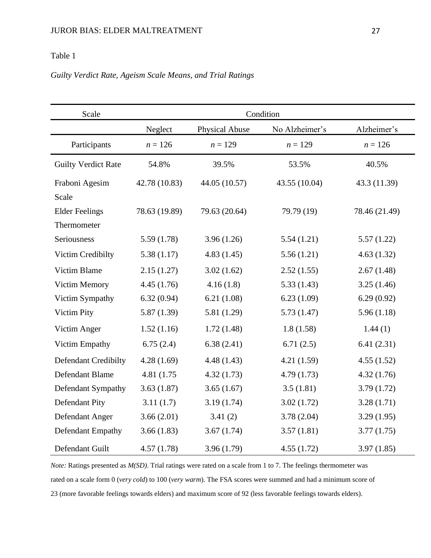## Table 1

## *Guilty Verdict Rate, Ageism Scale Means, and Trial Ratings*

| Scale                       | Condition     |                |                |               |  |  |  |  |  |
|-----------------------------|---------------|----------------|----------------|---------------|--|--|--|--|--|
|                             | Neglect       | Physical Abuse | No Alzheimer's | Alzheimer's   |  |  |  |  |  |
| Participants                | $n = 126$     | $n = 129$      | $n = 129$      | $n = 126$     |  |  |  |  |  |
| <b>Guilty Verdict Rate</b>  | 54.8%         | 39.5%          | 53.5%          | 40.5%         |  |  |  |  |  |
| Fraboni Agesim              | 42.78 (10.83) | 44.05 (10.57)  | 43.55 (10.04)  | 43.3 (11.39)  |  |  |  |  |  |
| Scale                       |               |                |                |               |  |  |  |  |  |
| <b>Elder Feelings</b>       | 78.63 (19.89) | 79.63 (20.64)  | 79.79 (19)     | 78.46 (21.49) |  |  |  |  |  |
| Thermometer                 |               |                |                |               |  |  |  |  |  |
| Seriousness                 | 5.59(1.78)    | 3.96(1.26)     | 5.54(1.21)     | 5.57(1.22)    |  |  |  |  |  |
| Victim Credibilty           | 5.38(1.17)    | 4.83(1.45)     | 5.56(1.21)     | 4.63(1.32)    |  |  |  |  |  |
| Victim Blame                | 2.15(1.27)    | 3.02(1.62)     | 2.52(1.55)     | 2.67(1.48)    |  |  |  |  |  |
| <b>Victim Memory</b>        | 4.45(1.76)    | 4.16(1.8)      | 5.33(1.43)     | 3.25(1.46)    |  |  |  |  |  |
| Victim Sympathy             | 6.32(0.94)    | 6.21(1.08)     | 6.23(1.09)     | 6.29(0.92)    |  |  |  |  |  |
| Victim Pity                 | 5.87(1.39)    | 5.81(1.29)     | 5.73(1.47)     | 5.96(1.18)    |  |  |  |  |  |
| Victim Anger                | 1.52(1.16)    | 1.72(1.48)     | 1.8(1.58)      | 1.44(1)       |  |  |  |  |  |
| Victim Empathy              | 6.75(2.4)     | 6.38(2.41)     | 6.71(2.5)      | 6.41(2.31)    |  |  |  |  |  |
| <b>Defendant Credibilty</b> | 4.28(1.69)    | 4.48(1.43)     | 4.21(1.59)     | 4.55(1.52)    |  |  |  |  |  |
| Defendant Blame             | 4.81 (1.75)   | 4.32(1.73)     | 4.79(1.73)     | 4.32(1.76)    |  |  |  |  |  |
| Defendant Sympathy          | 3.63(1.87)    | 3.65(1.67)     | 3.5(1.81)      | 3.79(1.72)    |  |  |  |  |  |
| Defendant Pity              | 3.11(1.7)     | 3.19(1.74)     | 3.02(1.72)     | 3.28(1.71)    |  |  |  |  |  |
| Defendant Anger             | 3.66(2.01)    | 3.41(2)        | 3.78(2.04)     | 3.29(1.95)    |  |  |  |  |  |
| Defendant Empathy           | 3.66(1.83)    | 3.67(1.74)     | 3.57(1.81)     | 3.77(1.75)    |  |  |  |  |  |
| Defendant Guilt             | 4.57(1.78)    | 3.96(1.79)     | 4.55(1.72)     | 3.97(1.85)    |  |  |  |  |  |

*Note:* Ratings presented as *M(SD)*. Trial ratings were rated on a scale from 1 to 7. The feelings thermometer was rated on a scale form 0 (*very cold*) to 100 (*very warm*). The FSA scores were summed and had a minimum score of 23 (more favorable feelings towards elders) and maximum score of 92 (less favorable feelings towards elders).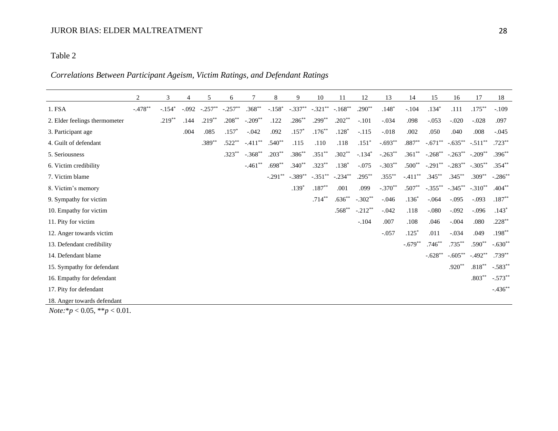## Table 2

## *Correlations Between Participant Ageism, Victim Ratings, and Defendant Ratings*

|                               | $\overline{c}$ | 3        | $\overline{4}$ | 5         | 6         |           | 8         | 9          | 10         | 11         | 12        | 13        | 14         | 15         | 16         | 17                | 18         |
|-------------------------------|----------------|----------|----------------|-----------|-----------|-----------|-----------|------------|------------|------------|-----------|-----------|------------|------------|------------|-------------------|------------|
| 1. FSA                        | $-.478**$      | $-.154*$ | $-.092$        | $-.257**$ | $-.257**$ | $.368**$  | $-.158*$  | $-.337***$ | $-.321***$ | $-.168**$  | $.290**$  | $.148*$   | $-.104$    | $.134*$    | .111       | $.175***$         | $-.109$    |
| 2. Elder feelings thermometer |                | $.219**$ | .144           | $.219***$ | $.208***$ | $-.209**$ | .122      | $.286***$  | $.299***$  | $.202**$   | $-.101$   | $-.034$   | .098       | $-.053$    | $-.020$    | $-0.028$          | .097       |
| 3. Participant age            |                |          | .004           | .085      | $.157*$   | $-0.042$  | .092      | $.157*$    | $.176***$  | $.128*$    | $-.115$   | $-0.018$  | .002       | .050       | .040       | .008              | $-.045$    |
| 4. Guilt of defendant         |                |          |                | $.389**$  | $.522**$  | $-.411**$ | $.540**$  | .115       | .110       | .118       | $.151*$   | $-.693**$ | $.887**$   | $-.671**$  | $-.635***$ | $-.511**$         | $.723**$   |
| 5. Seriousness                |                |          |                |           | $.323**$  | $-.368**$ | $.203***$ | $.386**$   | $.351**$   | $.302**$   | $-.134*$  | $-.263**$ | $.361**$   | $-.268***$ | $-.263**$  | $-.209**$         | $.396**$   |
| 6. Victim credibility         |                |          |                |           |           | $-.461$   | $.698**$  | $.340**$   | $.323***$  | $.138*$    | $-.075$   | $-.303**$ | $.500**$   | $-.291***$ | $-.283**$  | $-.305***$        | $.354***$  |
| 7. Victim blame               |                |          |                |           |           |           | $-.291**$ | $-.389**$  | $-.351***$ | $-.234***$ | $.295***$ | $.355***$ | $-.411***$ | $.345***$  | $.345***$  | $.309**$          | $-.286***$ |
| 8. Victim's memory            |                |          |                |           |           |           |           | $.139*$    | $.187**$   | .001       | .099      | $-.370**$ | $.507**$   | $-.355$ ** | $-.345***$ | $-.310**$         | $.404**$   |
| 9. Sympathy for victim        |                |          |                |           |           |           |           |            | $.714***$  | $.636**$   | $-.302**$ | $-.046$   | $.136*$    | $-.064$    | $-.095$    | $-.093$           | $.187**$   |
| 10. Empathy for victim        |                |          |                |           |           |           |           |            |            | $.568**$   | $-.212**$ | $-.042$   | .118       | $-080$     | $-.092$    | $-.096$           | $.143*$    |
| 11. Pity for victim           |                |          |                |           |           |           |           |            |            |            | $-.104$   | .007      | .108       | .046       | $-.004$    | .080              | $.228***$  |
| 12. Anger towards victim      |                |          |                |           |           |           |           |            |            |            |           | $-.057$   | $.125*$    | .011       | $-.034$    | .049              | $.198***$  |
| 13. Defendant credibility     |                |          |                |           |           |           |           |            |            |            |           |           | $-.679**$  | $.746**$   | $.735***$  | $.590**$          | $-.630**$  |
| 14. Defendant blame           |                |          |                |           |           |           |           |            |            |            |           |           |            | $-.628**$  | $-.605***$ | $-.492**$         | $.739***$  |
| 15. Sympathy for defendant    |                |          |                |           |           |           |           |            |            |            |           |           |            |            | $.920**$   | $.818^{\ast\ast}$ | $-.583**$  |
| 16. Empathy for defendant     |                |          |                |           |           |           |           |            |            |            |           |           |            |            |            | $.803**$          | $-.573**$  |
| 17. Pity for defendant        |                |          |                |           |           |           |           |            |            |            |           |           |            |            |            |                   | $-.436**$  |
| 18. Anger towards defendant   |                |          |                |           |           |           |           |            |            |            |           |           |            |            |            |                   |            |

*Note:*\**p* < 0.05, \*\**p* < 0.01.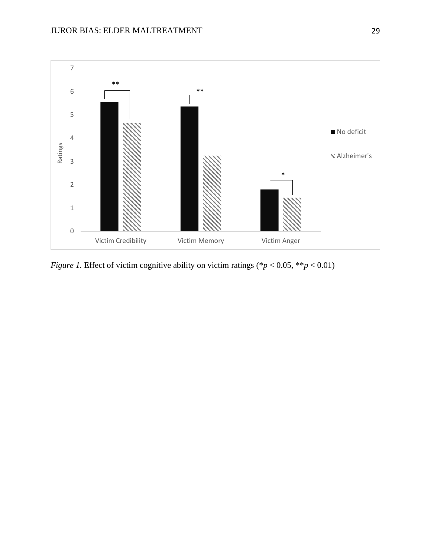

*Figure 1.* Effect of victim cognitive ability on victim ratings (\**p* < 0.05, \*\**p* < 0.01)